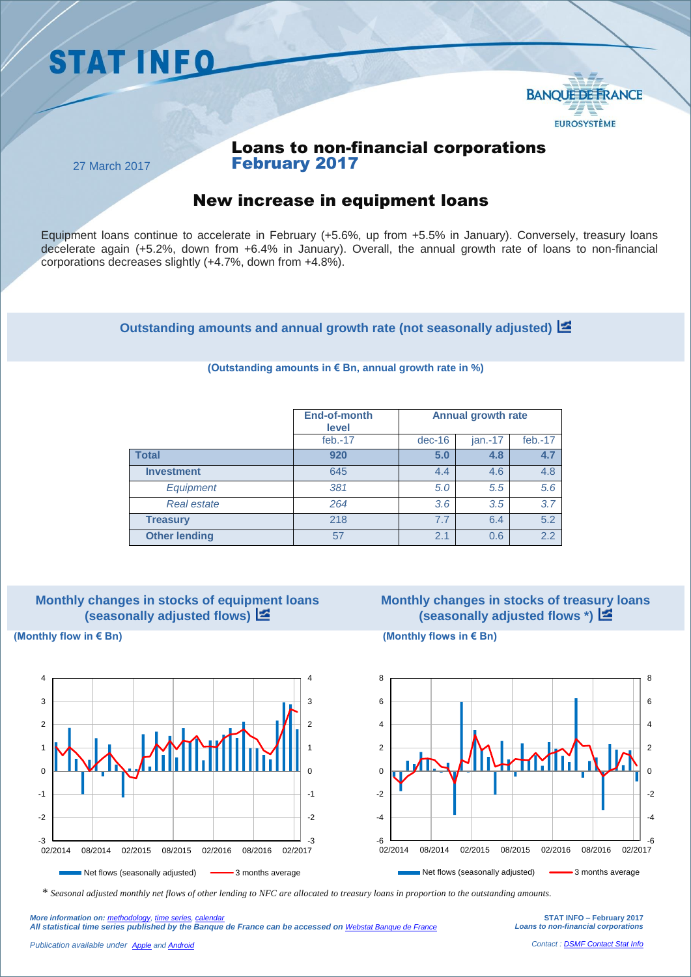



# Loans to non-financial corporations February 2017

27 March 2017

# New increase in equipment loans

Equipment loans continue to accelerate in February (+5.6%, up from +5.5% in January). Conversely, treasury loans decelerate again (+5.2%, down from +6.4% in January). Overall, the annual growth rate of loans to non-financial corporations decreases slightly (+4.7%, down from +4.8%).

**Outstanding amounts and annual growth rate (not seasonally adjusted)**

#### **End-of-month level Annual growth rate** feb.-17 dec-16 jan.-17 feb.-17 **Total 920 5.0 4.8 4.7 Investment** 645 **4.4** 4.6 4.8 *Equipment 381 5.0 5.5 5.6 Real estate 264 3.6 3.5 3.7*  **Treasury** 218  $\vert$  7.7 6.4 5.2 **Other lending** 57 57 2.1 0.6 2.2

#### **(Outstanding amounts in € Bn, annual growth rate in %)**



### **Monthly changes in stocks of equipment loans (seasonally adjusted flows)**

# **Monthly changes in stocks of treasury loans (seasonally adjusted flows \*)**







*\* Seasonal adjusted monthly net flows of other lending to NFC are allocated to treasury loans in proportion to the outstanding amounts.*

**STAT INFO – February 2017** *Loans to non-financial corporations*